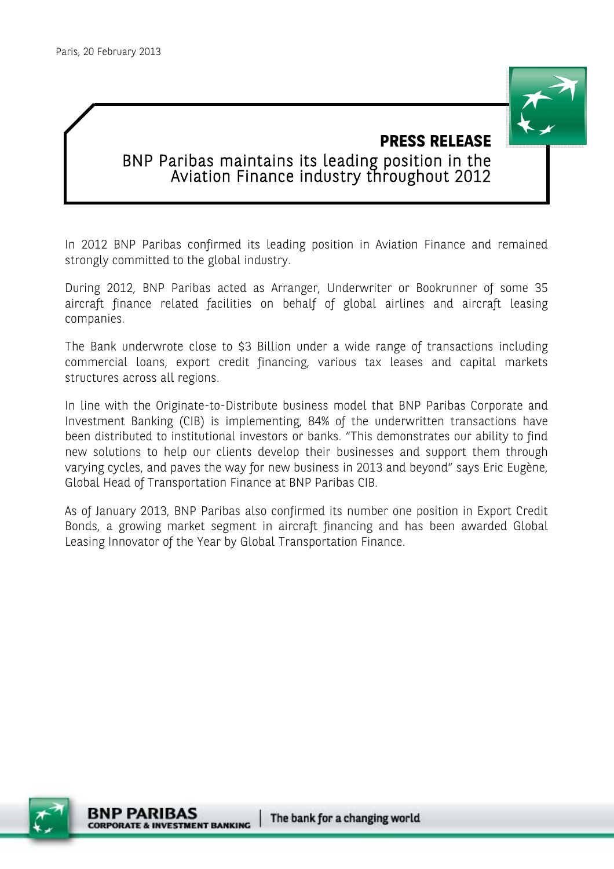

# **PRESS RELEASE**  BNP Paribas maintains its leading position in the Aviation Finance industry throughout 2012

In 2012 BNP Paribas confirmed its leading position in Aviation Finance and remained strongly committed to the global industry.

During 2012, BNP Paribas acted as Arranger, Underwriter or Bookrunner of some 35 aircraft finance related facilities on behalf of global airlines and aircraft leasing companies.

The Bank underwrote close to \$3 Billion under a wide range of transactions including commercial loans, export credit financing, various tax leases and capital markets structures across all regions.

In line with the Originate-to-Distribute business model that BNP Paribas Corporate and Investment Banking (CIB) is implementing, 84% of the underwritten transactions have been distributed to institutional investors or banks. "This demonstrates our ability to find new solutions to help our clients develop their businesses and support them through varying cycles, and paves the way for new business in 2013 and beyond" says Eric Eugène, Global Head of Transportation Finance at BNP Paribas CIB.

As of January 2013, BNP Paribas also confirmed its number one position in Export Credit Bonds, a growing market segment in aircraft financing and has been awarded Global Leasing Innovator of the Year by Global Transportation Finance.

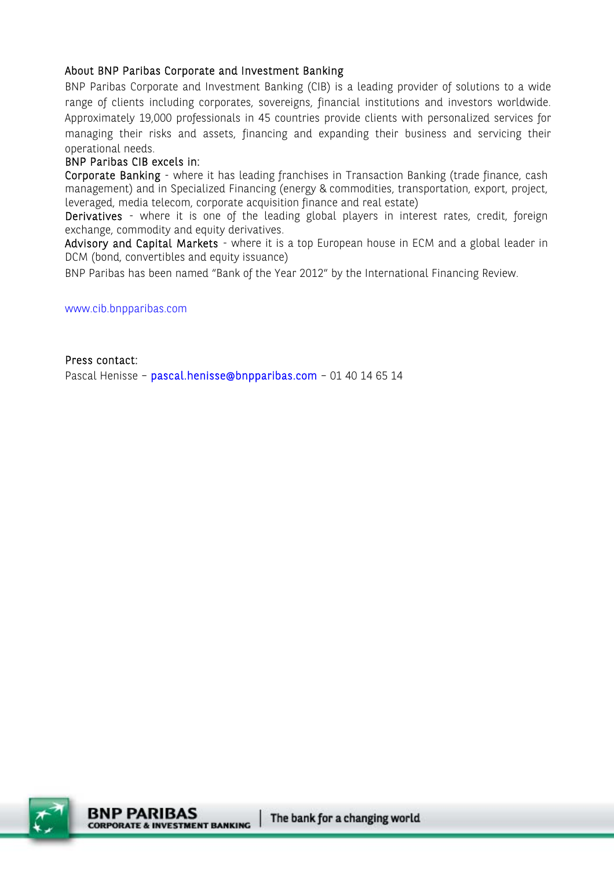#### About BNP Paribas Corporate and Investment Banking

BNP Paribas Corporate and Investment Banking (CIB) is a leading provider of solutions to a wide range of clients including corporates, sovereigns, financial institutions and investors worldwide. Approximately 19,000 professionals in 45 countries provide clients with personalized services for managing their risks and assets, financing and expanding their business and servicing their operational needs.

#### BNP Paribas CIB excels in:

Corporate Banking - where it has leading franchises in Transaction Banking (trade finance, cash management) and in Specialized Financing (energy & commodities, transportation, export, project, leveraged, media telecom, corporate acquisition finance and real estate)

Derivatives - where it is one of the leading global players in interest rates, credit, foreign exchange, commodity and equity derivatives.

Advisory and Capital Markets - where it is a top European house in ECM and a global leader in DCM (bond, convertibles and equity issuance)

BNP Paribas has been named "Bank of the Year 2012" by the International Financing Review.

www.cib.bnpparibas.com

Press contact:

Pascal Henisse - pascal.henisse@bnpparibas.com - 01 40 14 65 14

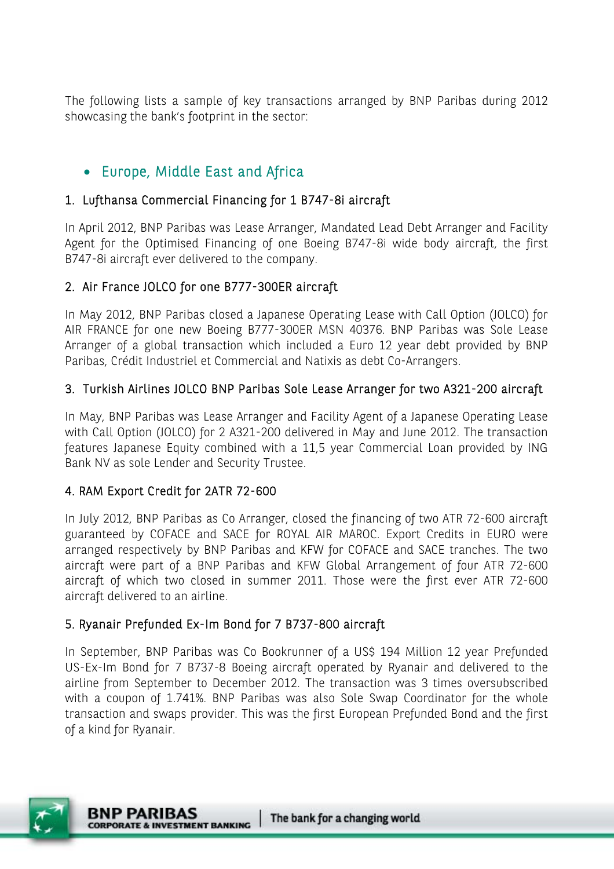The following lists a sample of key transactions arranged by BNP Paribas during 2012 showcasing the bank's footprint in the sector:

# Europe, Middle East and Africa

#### 1. Lufthansa Commercial Financing for 1 B747-8i aircraft

In April 2012, BNP Paribas was Lease Arranger, Mandated Lead Debt Arranger and Facility Agent for the Optimised Financing of one Boeing B747-8i wide body aircraft, the first B747-8i aircraft ever delivered to the company.

#### 2. Air France JOLCO for one B777-300ER aircraft

In May 2012, BNP Paribas closed a Japanese Operating Lease with Call Option (JOLCO) for AIR FRANCE for one new Boeing B777-300ER MSN 40376. BNP Paribas was Sole Lease Arranger of a global transaction which included a Euro 12 year debt provided by BNP Paribas, Crédit Industriel et Commercial and Natixis as debt Co-Arrangers.

#### 3. Turkish Airlines JOLCO BNP Paribas Sole Lease Arranger for two A321-200 aircraft

In May, BNP Paribas was Lease Arranger and Facility Agent of a Japanese Operating Lease with Call Option (JOLCO) for 2 A321-200 delivered in May and June 2012. The transaction features Japanese Equity combined with a 11,5 year Commercial Loan provided by ING Bank NV as sole Lender and Security Trustee.

## 4. RAM Export Credit for 2ATR 72-600

In July 2012, BNP Paribas as Co Arranger, closed the financing of two ATR 72-600 aircraft guaranteed by COFACE and SACE for ROYAL AIR MAROC. Export Credits in EURO were arranged respectively by BNP Paribas and KFW for COFACE and SACE tranches. The two aircraft were part of a BNP Paribas and KFW Global Arrangement of four ATR 72-600 aircraft of which two closed in summer 2011. Those were the first ever ATR 72-600 aircraft delivered to an airline.

## 5. Ryanair Prefunded Ex-Im Bond for 7 B737-800 aircraft

In September, BNP Paribas was Co Bookrunner of a US\$ 194 Million 12 year Prefunded US-Ex-Im Bond for 7 B737-8 Boeing aircraft operated by Ryanair and delivered to the airline from September to December 2012. The transaction was 3 times oversubscribed with a coupon of 1.741%. BNP Paribas was also Sole Swap Coordinator for the whole transaction and swaps provider. This was the first European Prefunded Bond and the first of a kind for Ryanair.

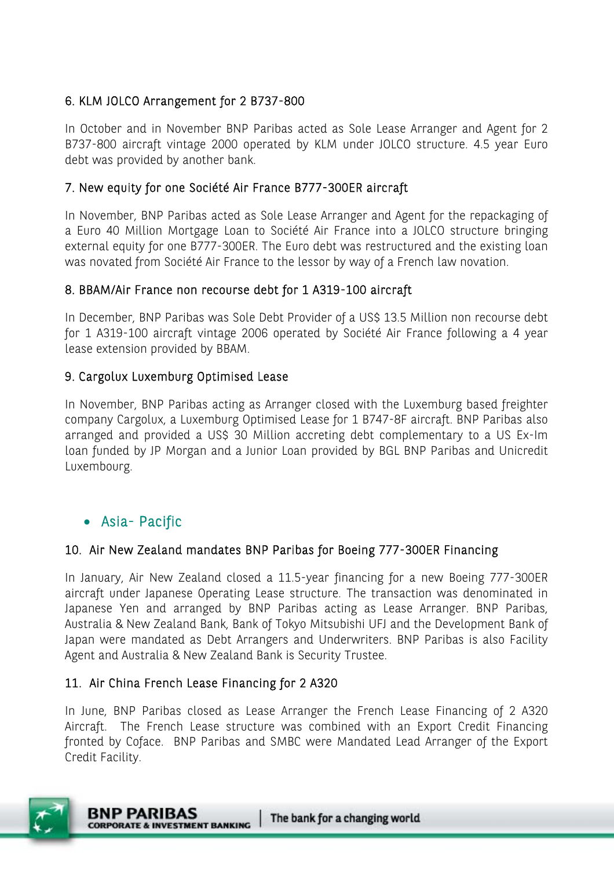#### 6. KLM JOLCO Arrangement for 2 B737-800

In October and in November BNP Paribas acted as Sole Lease Arranger and Agent for 2 B737-800 aircraft vintage 2000 operated by KLM under JOLCO structure. 4.5 year Euro debt was provided by another bank.

#### 7. New equity for one Société Air France B777-300ER aircraft

In November, BNP Paribas acted as Sole Lease Arranger and Agent for the repackaging of a Euro 40 Million Mortgage Loan to Société Air France into a JOLCO structure bringing external equity for one B777-300ER. The Euro debt was restructured and the existing loan was novated from Société Air France to the lessor by way of a French law novation.

#### 8. BBAM/Air France non recourse debt for 1 A319-100 aircraft

In December, BNP Paribas was Sole Debt Provider of a US\$ 13.5 Million non recourse debt for 1 A319-100 aircraft vintage 2006 operated by Société Air France following a 4 year lease extension provided by BBAM.

#### 9. Cargolux Luxemburg Optimised Lease

In November, BNP Paribas acting as Arranger closed with the Luxemburg based freighter company Cargolux, a Luxemburg Optimised Lease for 1 B747-8F aircraft. BNP Paribas also arranged and provided a US\$ 30 Million accreting debt complementary to a US Ex-Im loan funded by JP Morgan and a Junior Loan provided by BGL BNP Paribas and Unicredit Luxembourg.

## Asia- Pacific

#### 10. Air New Zealand mandates BNP Paribas for Boeing 777-300ER Financing

In January, Air New Zealand closed a 11.5-year financing for a new Boeing 777-300ER aircraft under Japanese Operating Lease structure. The transaction was denominated in Japanese Yen and arranged by BNP Paribas acting as Lease Arranger. BNP Paribas, Australia & New Zealand Bank, Bank of Tokyo Mitsubishi UFJ and the Development Bank of Japan were mandated as Debt Arrangers and Underwriters. BNP Paribas is also Facility Agent and Australia & New Zealand Bank is Security Trustee.

#### 11. Air China French Lease Financing for 2 A320

In June, BNP Paribas closed as Lease Arranger the French Lease Financing of 2 A320 Aircraft. The French Lease structure was combined with an Export Credit Financing fronted by Coface. BNP Paribas and SMBC were Mandated Lead Arranger of the Export Credit Facility.

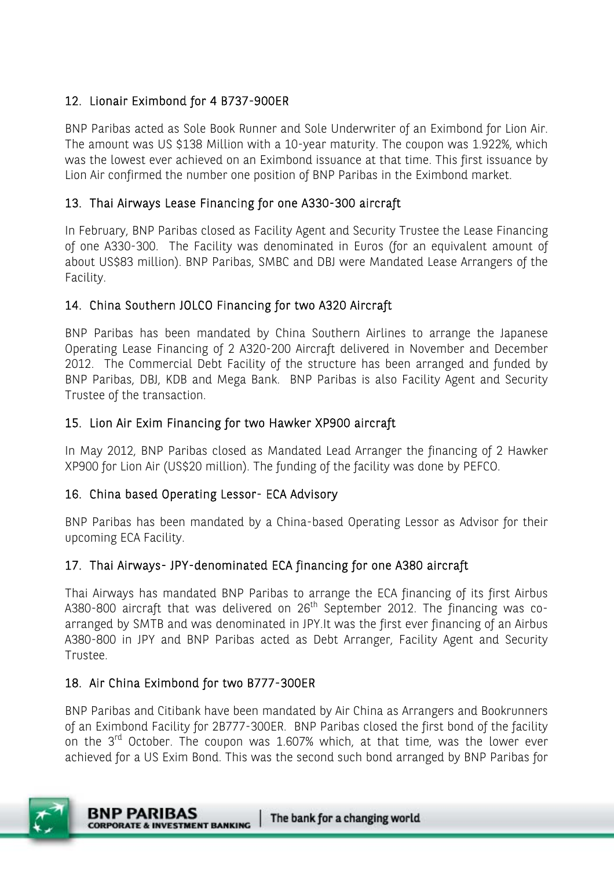## 12. Lionair Eximbond for 4 B737-900ER

BNP Paribas acted as Sole Book Runner and Sole Underwriter of an Eximbond for Lion Air. The amount was US \$138 Million with a 10-year maturity. The coupon was 1.922%, which was the lowest ever achieved on an Eximbond issuance at that time. This first issuance by Lion Air confirmed the number one position of BNP Paribas in the Eximbond market.

#### 13. Thai Airways Lease Financing for one A330-300 aircraft

In February, BNP Paribas closed as Facility Agent and Security Trustee the Lease Financing of one A330-300. The Facility was denominated in Euros (for an equivalent amount of about US\$83 million). BNP Paribas, SMBC and DBJ were Mandated Lease Arrangers of the Facility.

#### 14. China Southern JOLCO Financing for two A320 Aircraft

BNP Paribas has been mandated by China Southern Airlines to arrange the Japanese Operating Lease Financing of 2 A320-200 Aircraft delivered in November and December 2012. The Commercial Debt Facility of the structure has been arranged and funded by BNP Paribas, DBJ, KDB and Mega Bank. BNP Paribas is also Facility Agent and Security Trustee of the transaction.

#### 15. Lion Air Exim Financing for two Hawker XP900 aircraft

In May 2012, BNP Paribas closed as Mandated Lead Arranger the financing of 2 Hawker XP900 for Lion Air (US\$20 million). The funding of the facility was done by PEFCO.

#### 16. China based Operating Lessor- ECA Advisory

BNP Paribas has been mandated by a China-based Operating Lessor as Advisor for their upcoming ECA Facility.

## 17. Thai Airways- JPY-denominated ECA financing for one A380 aircraft

Thai Airways has mandated BNP Paribas to arrange the ECA financing of its first Airbus A380-800 aircraft that was delivered on 26<sup>th</sup> September 2012. The financing was coarranged by SMTB and was denominated in JPY.It was the first ever financing of an Airbus A380-800 in JPY and BNP Paribas acted as Debt Arranger, Facility Agent and Security Trustee.

#### 18. Air China Eximbond for two B777-300ER

BNP Paribas and Citibank have been mandated by Air China as Arrangers and Bookrunners of an Eximbond Facility for 2B777-300ER. BNP Paribas closed the first bond of the facility on the  $3<sup>rd</sup>$  October. The coupon was 1.607% which, at that time, was the lower ever achieved for a US Exim Bond. This was the second such bond arranged by BNP Paribas for

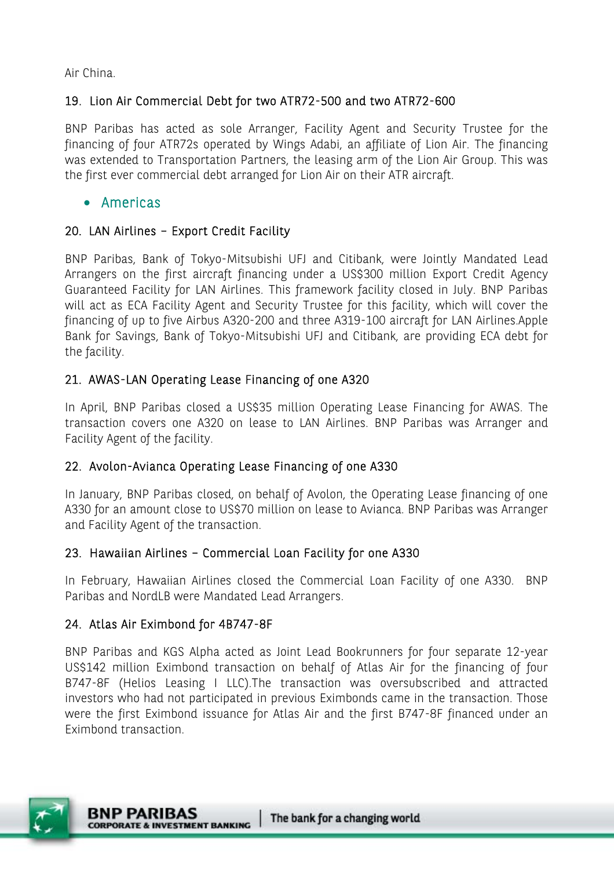Air China.

#### 19. Lion Air Commercial Debt for two ATR72-500 and two ATR72-600

BNP Paribas has acted as sole Arranger, Facility Agent and Security Trustee for the financing of four ATR72s operated by Wings Adabi, an affiliate of Lion Air. The financing was extended to Transportation Partners, the leasing arm of the Lion Air Group. This was the first ever commercial debt arranged for Lion Air on their ATR aircraft.

#### Americas

#### 20. LAN Airlines – Export Credit Facility

BNP Paribas, Bank of Tokyo-Mitsubishi UFJ and Citibank, were Jointly Mandated Lead Arrangers on the first aircraft financing under a US\$300 million Export Credit Agency Guaranteed Facility for LAN Airlines. This framework facility closed in July. BNP Paribas will act as ECA Facility Agent and Security Trustee for this facility, which will cover the financing of up to five Airbus A320-200 and three A319-100 aircraft for LAN Airlines.Apple Bank for Savings, Bank of Tokyo-Mitsubishi UFJ and Citibank, are providing ECA debt for the facility.

## 21. AWAS-LAN Operating Lease Financing of one A320

In April, BNP Paribas closed a US\$35 million Operating Lease Financing for AWAS. The transaction covers one A320 on lease to LAN Airlines. BNP Paribas was Arranger and Facility Agent of the facility.

#### 22. Avolon-Avianca Operating Lease Financing of one A330

In January, BNP Paribas closed, on behalf of Avolon, the Operating Lease financing of one A330 for an amount close to US\$70 million on lease to Avianca. BNP Paribas was Arranger and Facility Agent of the transaction.

#### 23. Hawaiian Airlines – Commercial Loan Facility for one A330

In February, Hawaiian Airlines closed the Commercial Loan Facility of one A330. BNP Paribas and NordLB were Mandated Lead Arrangers.

#### 24. Atlas Air Eximbond for 4B747-8F

BNP Paribas and KGS Alpha acted as Joint Lead Bookrunners for four separate 12-year US\$142 million Eximbond transaction on behalf of Atlas Air for the financing of four B747-8F (Helios Leasing I LLC).The transaction was oversubscribed and attracted investors who had not participated in previous Eximbonds came in the transaction. Those were the first Eximbond issuance for Atlas Air and the first B747-8F financed under an Eximbond transaction.